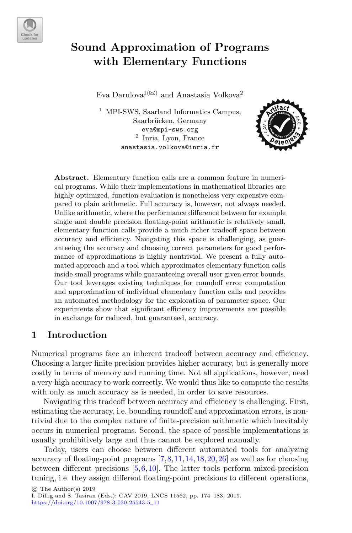

# **Sound Approximation of Programs with Elementary Functions**

Eva Darulova<sup>1( $\boxtimes$ )</sup> and Anastasia Volkova<sup>2</sup>

<sup>1</sup> MPI-SWS, Saarland Informatics Campus, Saarbrücken, Germany eva@mpi-sws.org <sup>2</sup> Inria, Lyon, France anastasia.volkova@inria.fr



**Abstract.** Elementary function calls are a common feature in numerical programs. While their implementations in mathematical libraries are highly optimized, function evaluation is nonetheless very expensive compared to plain arithmetic. Full accuracy is, however, not always needed. Unlike arithmetic, where the performance difference between for example single and double precision floating-point arithmetic is relatively small, elementary function calls provide a much richer tradeoff space between accuracy and efficiency. Navigating this space is challenging, as guaranteeing the accuracy and choosing correct parameters for good performance of approximations is highly nontrivial. We present a fully automated approach and a tool which approximates elementary function calls inside small programs while guaranteeing overall user given error bounds. Our tool leverages existing techniques for roundoff error computation and approximation of individual elementary function calls and provides an automated methodology for the exploration of parameter space. Our experiments show that significant efficiency improvements are possible in exchange for reduced, but guaranteed, accuracy.

## **1 Introduction**

Numerical programs face an inherent tradeoff between accuracy and efficiency. Choosing a larger finite precision provides higher accuracy, but is generally more costly in terms of memory and running time. Not all applications, however, need a very high accuracy to work correctly. We would thus like to compute the results with only as much accuracy as is needed, in order to save resources.

Navigating this tradeoff between accuracy and efficiency is challenging. First, estimating the accuracy, i.e. bounding roundoff and approximation errors, is nontrivial due to the complex nature of finite-precision arithmetic which inevitably occurs in numerical programs. Second, the space of possible implementations is usually prohibitively large and thus cannot be explored manually.

Today, users can choose between different automated tools for analyzing accuracy of floating-point programs  $[7,8,11,14,18,20,26]$  $[7,8,11,14,18,20,26]$  $[7,8,11,14,18,20,26]$  $[7,8,11,14,18,20,26]$  $[7,8,11,14,18,20,26]$  $[7,8,11,14,18,20,26]$  $[7,8,11,14,18,20,26]$  $[7,8,11,14,18,20,26]$  $[7,8,11,14,18,20,26]$  as well as for choosing between different precisions [\[5,](#page-8-6)[6](#page-8-7)[,10](#page-8-8)]. The latter tools perform mixed-precision tuning, i.e. they assign different floating-point precisions to different operations,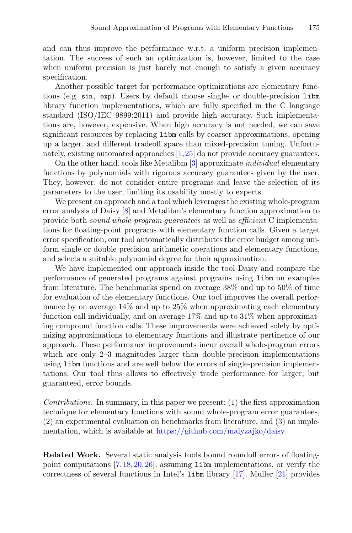and can thus improve the performance w.r.t. a uniform precision implementation. The success of such an optimization is, however, limited to the case when uniform precision is just barely not enough to satisfy a given accuracy specification.

Another possible target for performance optimizations are elementary functions (e.g. sin, exp). Users by default choose single- or double-precision libm library function implementations, which are fully specified in the C language standard (ISO/IEC 9899:2011) and provide high accuracy. Such implementations are, however, expensive. When high accuracy is not needed, we can save significant resources by replacing libm calls by coarser approximations, opening up a larger, and different tradeoff space than mixed-precision tuning. Unfortunately, existing automated approaches [\[1](#page-7-0)[,25](#page-9-1)] do not provide accuracy guarantees.

On the other hand, tools like Metalibm [\[3](#page-8-9)] approximate *individual* elementary functions by polynomials with rigorous accuracy guarantees given by the user. They, however, do not consider entire programs and leave the selection of its parameters to the user, limiting its usability mostly to experts.

We present an approach and a tool which leverages the existing whole-program error analysis of Daisy [\[8](#page-8-1)] and Metalibm's elementary function approximation to provide both *sound whole-program guarantees* as well as *efficient* C implementations for floating-point programs with elementary function calls. Given a target error specification, our tool automatically distributes the error budget among uniform single or double precision arithmetic operations and elementary functions, and selects a suitable polynomial degree for their approximation.

We have implemented our approach inside the tool Daisy and compare the performance of generated programs against programs using libm on examples from literature. The benchmarks spend on average 38% and up to 50% of time for evaluation of the elementary functions. Our tool improves the overall performance by on average 14% and up to 25% when approximating each elementary function call individually, and on average 17% and up to 31% when approximating compound function calls. These improvements were achieved solely by optimizing approximations to elementary functions and illustrate pertinence of our approach. These performance improvements incur overall whole-program errors which are only 2–3 magnitudes larger than double-precision implementations using libm functions and are well below the errors of single-precision implementations. Our tool thus allows to effectively trade performance for larger, but guaranteed, error bounds.

*Contributions.* In summary, in this paper we present: (1) the first approximation technique for elementary functions with sound whole-program error guarantees, (2) an experimental evaluation on benchmarks from literature, and (3) an implementation, which is available at [https://github.com/malyzajko/daisy.](https://github.com/malyzajko/daisy)

**Related Work.** Several static analysis tools bound roundoff errors of floatingpoint computations [\[7,](#page-8-0)[18](#page-8-4)[,20](#page-8-5),[26\]](#page-9-0), assuming libm implementations, or verify the correctness of several functions in Intel's libm library [\[17](#page-8-10)]. Muller [\[21](#page-8-11)] provides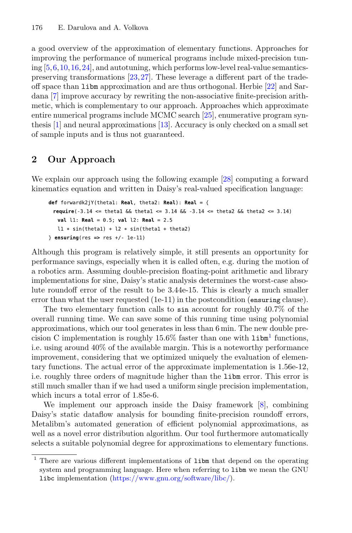a good overview of the approximation of elementary functions. Approaches for improving the performance of numerical programs include mixed-precision tuning [\[5](#page-8-6)[,6](#page-8-7),[10,](#page-8-8)[16,](#page-8-12)[24](#page-9-2)], and autotuning, which performs low-level real-value semanticspreserving transformations [\[23,](#page-9-3)[27\]](#page-9-4). These leverage a different part of the tradeoff space than libm approximation and are thus orthogonal. Herbie [\[22](#page-9-5)] and Sardana [\[7\]](#page-8-0) improve accuracy by rewriting the non-associative finite-precision arithmetic, which is complementary to our approach. Approaches which approximate entire numerical programs include MCMC search [\[25\]](#page-9-1), enumerative program synthesis [\[1](#page-7-0)] and neural approximations [\[13](#page-8-13)]. Accuracy is only checked on a small set of sample inputs and is thus not guaranteed.

# **2 Our Approach**

We explain our approach using the following example [\[28](#page-9-6)] computing a forward kinematics equation and written in Daisy's real-valued specification language:

```
def forwardk2jY(thetal: Real, theta2: Real): Real = {
require(-3.14 <= theta1 && theta1 <= 3.14 && -3.14 <= theta2 && theta2 <= 3.14)
  val 11: Real = 0.5; val 12: Real = 2.5
  l1 * sin(thetal) + l2 * sin(thetal + theta2)\} ensuring(res => res +/- 1e-11)
```
Although this program is relatively simple, it still presents an opportunity for performance savings, especially when it is called often, e.g. during the motion of a robotics arm. Assuming double-precision floating-point arithmetic and library implementations for sine, Daisy's static analysis determines the worst-case absolute roundoff error of the result to be 3.44e-15. This is clearly a much smaller error than what the user requested (1e-11) in the postcondition (ensuring clause).

The two elementary function calls to sin account for roughly 40.7% of the overall running time. We can save some of this running time using polynomial approximations, which our tool generates in less than 6 min. The new double precision C implementation is roughly  $15.6\%$  $15.6\%$  faster than one with  $\text{libm}^1$  functions, i.e. using around 40% of the available margin. This is a noteworthy performance improvement, considering that we optimized uniquely the evaluation of elementary functions. The actual error of the approximate implementation is 1.56e-12, i.e. roughly three orders of magnitude higher than the libm error. This error is still much smaller than if we had used a uniform single precision implementation, which incurs a total error of 1.85e-6.

We implement our approach inside the Daisy framework [\[8\]](#page-8-1), combining Daisy's static dataflow analysis for bounding finite-precision roundoff errors, Metalibm's automated generation of efficient polynomial approximations, as well as a novel error distribution algorithm. Our tool furthermore automatically selects a suitable polynomial degree for approximations to elementary functions.

<span id="page-2-0"></span><sup>1</sup> There are various different implementations of libm that depend on the operating system and programming language. Here when referring to libm we mean the GNU libc implementation [\(https://www.gnu.org/software/libc/\)](https://www.gnu.org/software/libc/).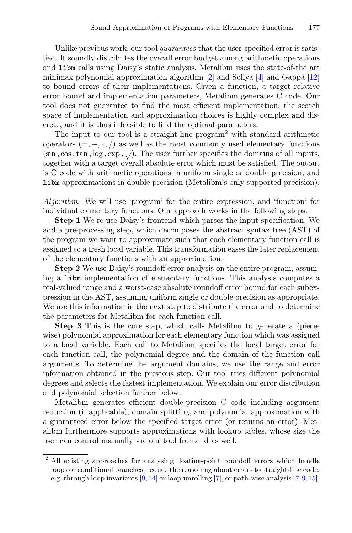Unlike previous work, our tool *guarantees* that the user-specified error is satisfied. It soundly distributes the overall error budget among arithmetic operations and libm calls using Daisy's static analysis. Metalibm uses the state-of-the art minimax polynomial approximation algorithm [\[2](#page-8-14)] and Sollya [\[4\]](#page-8-15) and Gappa [\[12\]](#page-8-16) to bound errors of their implementations. Given a function, a target relative error bound and implementation parameters, Metalibm generates C code. Our tool does not guarantee to find the most efficient implementation; the search space of implementation and approximation choices is highly complex and discrete, and it is thus infeasible to find the optimal parameters.

The input to our tool is a straight-line  $\mu$  program<sup>[2](#page-3-0)</sup> with standard arithmetic operators  $(=, -, *, /)$  as well as the most commonly used elementary functions  $(\sin, \cos, \tan, \log, \exp, \sqrt{)}$ . The user further specifies the domains of all inputs, together with a target overall absolute error which must be satisfied. The output is C code with arithmetic operations in uniform single or double precision, and libm approximations in double precision (Metalibm's only supported precision).

*Algorithm.* We will use 'program' for the entire expression, and 'function' for individual elementary functions. Our approach works in the following steps.

**Step 1** We re-use Daisy's frontend which parses the input specification. We add a pre-processing step, which decomposes the abstract syntax tree (AST) of the program we want to approximate such that each elementary function call is assigned to a fresh local variable. This transformation eases the later replacement of the elementary functions with an approximation.

**Step 2** We use Daisy's roundoff error analysis on the entire program, assuming a libm implementation of elementary functions. This analysis computes a real-valued range and a worst-case absolute roundoff error bound for each subexpression in the AST, assuming uniform single or double precision as appropriate. We use this information in the next step to distribute the error and to determine the parameters for Metalibm for each function call.

**Step 3** This is the core step, which calls Metalibm to generate a (piecewise) polynomial approximation for each elementary function which was assigned to a local variable. Each call to Metalibm specifies the local target error for each function call, the polynomial degree and the domain of the function call arguments. To determine the argument domains, we use the range and error information obtained in the previous step. Our tool tries different polynomial degrees and selects the fastest implementation. We explain our error distribution and polynomial selection further below.

Metalibm generates efficient double-precision C code including argument reduction (if applicable), domain splitting, and polynomial approximation with a guaranteed error below the specified target error (or returns an error). Metalibm furthermore supports approximations with lookup tables, whose size the user can control manually via our tool frontend as well.

<span id="page-3-0"></span><sup>&</sup>lt;sup>2</sup> All existing approaches for analysing floating-point roundoff errors which handle loops or conditional branches, reduce the reasoning about errors to straight-line code, e.g. through loop invariants [\[9,](#page-8-17)[14](#page-8-3)] or loop unrolling [\[7](#page-8-0)], or path-wise analysis [\[7](#page-8-0)[,9,](#page-8-17)[15](#page-8-18)].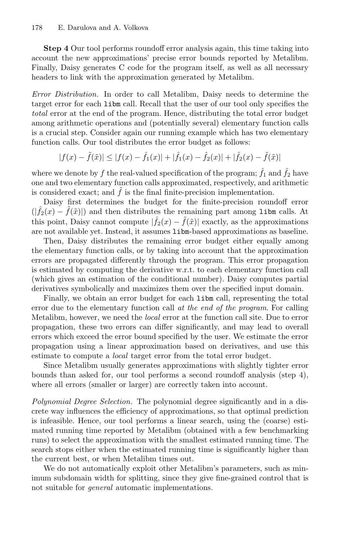**Step 4** Our tool performs roundoff error analysis again, this time taking into account the new approximations' precise error bounds reported by Metalibm. Finally, Daisy generates C code for the program itself, as well as all necessary headers to link with the approximation generated by Metalibm.

*Error Distribution.* In order to call Metalibm, Daisy needs to determine the target error for each libm call. Recall that the user of our tool only specifies the *total* error at the end of the program. Hence, distributing the total error budget among arithmetic operations and (potentially several) elementary function calls is a crucial step. Consider again our running example which has two elementary function calls. Our tool distributes the error budget as follows:

$$
|f(x) - \tilde{f}(\tilde{x})| \le |f(x) - \hat{f}_1(x)| + |\hat{f}_1(x) - \hat{f}_2(x)| + |\hat{f}_2(x) - \tilde{f}(\tilde{x})|
$$

where we denote by f the real-valued specification of the program;  $\hat{f}_1$  and  $\hat{f}_2$  have one and two elementary function calls approximated, respectively, and arithmetic is considered exact; and  $\tilde{f}$  is the final finite-precision implementation.

Daisy first determines the budget for the finite-precision roundoff error  $(|f_2(x) - f(\tilde{x})|)$  and then distributes the remaining part among libm calls. At this point, Daisy cannot compute  $|\hat{f}_2(x) - \tilde{f}(\tilde{x})|$  exactly, as the approximations are not available yet. Instead, it assumes libm-based approximations as baseline.

Then, Daisy distributes the remaining error budget either equally among the elementary function calls, or by taking into account that the approximation errors are propagated differently through the program. This error propagation is estimated by computing the derivative w.r.t. to each elementary function call (which gives an estimation of the conditional number). Daisy computes partial derivatives symbolically and maximizes them over the specified input domain.

Finally, we obtain an error budget for each libm call, representing the total error due to the elementary function call *at the end of the program*. For calling Metalibm, however, we need the *local* error at the function call site. Due to error propagation, these two errors can differ significantly, and may lead to overall errors which exceed the error bound specified by the user. We estimate the error propagation using a linear approximation based on derivatives, and use this estimate to compute a *local* target error from the total error budget.

Since Metalibm usually generates approximations with slightly tighter error bounds than asked for, our tool performs a second roundoff analysis (step 4), where all errors (smaller or larger) are correctly taken into account.

*Polynomial Degree Selection.* The polynomial degree significantly and in a discrete way influences the efficiency of approximations, so that optimal prediction is infeasible. Hence, our tool performs a linear search, using the (coarse) estimated running time reported by Metalibm (obtained with a few benchmarking runs) to select the approximation with the smallest estimated running time. The search stops either when the estimated running time is significantly higher than the current best, or when Metalibm times out.

We do not automatically exploit other Metalibm's parameters, such as minimum subdomain width for splitting, since they give fine-grained control that is not suitable for *general* automatic implementations.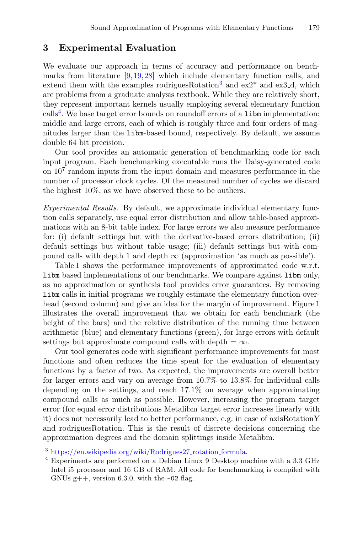#### **3 Experimental Evaluation**

We evaluate our approach in terms of accuracy and performance on benchmarks from literature [\[9,](#page-8-17)[19](#page-8-19)[,28](#page-9-6)] which include elementary function calls, and extend them with the examples rodriguesRotation<sup>[3](#page-5-0)</sup> and ex $2^*$  and ex $3$ -d, which are problems from a graduate analysis textbook. While they are relatively short, they represent important kernels usually employing several elementary function calls<sup>[4](#page-5-1)</sup>. We base target error bounds on roundoff errors of a libm implementation: middle and large errors, each of which is roughly three and four orders of magnitudes larger than the libm-based bound, respectively. By default, we assume double 64 bit precision.

Our tool provides an automatic generation of benchmarking code for each input program. Each benchmarking executable runs the Daisy-generated code on  $10<sup>7</sup>$  random inputs from the input domain and measures performance in the number of processor clock cycles. Of the measured number of cycles we discard the highest 10%, as we have observed these to be outliers.

*Experimental Results.* By default, we approximate individual elementary function calls separately, use equal error distribution and allow table-based approximations with an 8-bit table index. For large errors we also measure performance for: (i) default settings but with the derivative-based errors distribution; (ii) default settings but without table usage; (iii) default settings but with compound calls with depth 1 and depth  $\infty$  (approximation 'as much as possible').

Table [1](#page-6-0) shows the performance improvements of approximated code w.r.t. libm based implementations of our benchmarks. We compare against libm only, as no approximation or synthesis tool provides error guarantees. By removing libm calls in initial programs we roughly estimate the elementary function overhead (second column) and give an idea for the margin of improvement. Figure [1](#page-7-1) illustrates the overall improvement that we obtain for each benchmark (the height of the bars) and the relative distribution of the running time between arithmetic (blue) and elementary functions (green), for large errors with default settings but approximate compound calls with depth =  $\infty$ .

Our tool generates code with significant performance improvements for most functions and often reduces the time spent for the evaluation of elementary functions by a factor of two. As expected, the improvements are overall better for larger errors and vary on average from 10.7% to 13.8% for individual calls depending on the settings, and reach 17.1% on average when approximating compound calls as much as possible. However, increasing the program target error (for equal error distributions Metalibm target error increases linearly with it) does not necessarily lead to better performance, e.g. in case of axisRotationY and rodriguesRotation. This is the result of discrete decisions concerning the approximation degrees and the domain splittings inside Metalibm.

<span id="page-5-0"></span> $3$  [https://en.wikipedia.org/wiki/Rodrigues27](https://en.wikipedia.org/wiki/Rodrigues27_rotation_formula)\_rotation\_formula.

<span id="page-5-1"></span><sup>4</sup> Experiments are performed on a Debian Linux 9 Desktop machine with a 3.3 GHz Intel i5 processor and 16 GB of RAM. All code for benchmarking is compiled with GNUs  $g_{++}$ , version 6.3.0, with the  $-02$  flag.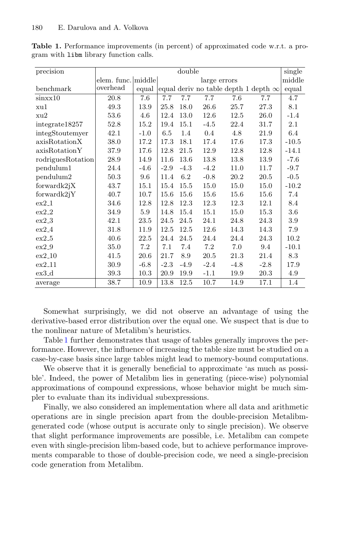| precision         | double             |         |        |        |              |        |                                                   | single  |
|-------------------|--------------------|---------|--------|--------|--------------|--------|---------------------------------------------------|---------|
|                   | elem. func. middle |         |        |        | large errors |        |                                                   | middle  |
| benchmark         | overhead           |         |        |        |              |        | equal equal deriv no table depth 1 depth $\infty$ | equal   |
| sinxx10           | 20.8               | $7.6\,$ | 7.7    | 7.7    | 7.7          | 7.6    | 7.7                                               | 4.7     |
| xu1               | 49.3               | 13.9    | 25.8   | 18.0   | 26.6         | 25.7   | 27.3                                              | 8.1     |
| xu2               | 53.6               | 4.6     | 12.4   | 13.0   | 12.6         | 12.5   | 26.0                                              | $-1.4$  |
| integrate18257    | 52.8               | 15.2    | 19.4   | 15.1   | $-4.5$       | 22.4   | 31.7                                              | 2.1     |
| integStoutemyer   | 42.1               | $-1.0$  | 6.5    | 1.4    | $0.4\,$      | 4.8    | 21.9                                              | $6.4\,$ |
| axisRotationX     | 38.0               | 17.2    | 17.3   | 18.1   | 17.4         | 17.6   | 17.3                                              | $-10.5$ |
| axisRotationY     | 37.9               | 17.6    | 12.8   | 21.5   | 12.9         | 12.8   | 12.8                                              | $-14.1$ |
| rodriguesRotation | 28.9               | 14.9    | 11.6   | 13.6   | 13.8         | 13.8   | 13.9                                              | $-7.6$  |
| pendulum1         | 24.4               | $-4.6$  | $-2.9$ | $-4.3$ | $-4.2$       | 11.0   | 11.7                                              | $-9.7$  |
| pendulum2         | 50.3               | 9.6     | 11.4   | 6.2    | $-0.8$       | 20.2   | 20.5                                              | $-0.5$  |
| forwardk2jX       | 43.7               | 15.1    | 15.4   | 15.5   | 15.0         | 15.0   | 15.0                                              | $-10.2$ |
| forwardk2jY       | 40.7               | 10.7    | 15.6   | 15.6   | 15.6         | 15.6   | 15.6                                              | 7.4     |
| ex2.1             | 34.6               | 12.8    | 12.8   | 12.3   | 12.3         | 12.3   | 12.1                                              | 8.4     |
| ex2.2             | 34.9               | 5.9     | 14.8   | 15.4   | 15.1         | 15.0   | 15.3                                              | $3.6\,$ |
| ex2.3             | 42.1               | 23.5    | 24.5   | 24.5   | 24.1         | 24.8   | 24.3                                              | 3.9     |
| ex2.4             | 31.8               | 11.9    | 12.5   | 12.5   | 12.6         | 14.3   | 14.3                                              | 7.9     |
| ex2.5             | 40.6               | 22.5    | 24.4   | 24.5   | 24.4         | 24.4   | 24.3                                              | 10.2    |
| ex2.9             | 35.0               | 7.2     | 7.1    | 7.4    | 7.2          | 7.0    | 9.4                                               | $-10.1$ |
| ex2.10            | 41.5               | 20.6    | 21.7   | 8.9    | 20.5         | 21.3   | 21.4                                              | 8.3     |
| ex2.11            | 30.9               | $-6.8$  | $-2.3$ | $-4.9$ | $-2.4$       | $-4.8$ | $-2.8$                                            | 17.9    |
| $ex3_d$           | 39.3               | 10.3    | 20.9   | 19.9   | $-1.1$       | 19.9   | 20.3                                              | 4.9     |
| average           | 38.7               | 10.9    | 13.8   | 12.5   | 10.7         | 14.9   | 17.1                                              | 1.4     |

<span id="page-6-0"></span>**Table 1.** Performance improvements (in percent) of approximated code w.r.t. a program with libm library function calls.

Somewhat surprisingly, we did not observe an advantage of using the derivative-based error distribution over the equal one. We suspect that is due to the nonlinear nature of Metalibm's heuristics.

Table [1](#page-6-0) further demonstrates that usage of tables generally improves the performance. However, the influence of increasing the table size must be studied on a case-by-case basis since large tables might lead to memory-bound computations.

We observe that it is generally beneficial to approximate 'as much as possible'. Indeed, the power of Metalibm lies in generating (piece-wise) polynomial approximations of compound expressions, whose behavior might be much simpler to evaluate than its individual subexpressions.

Finally, we also considered an implementation where all data and arithmetic operations are in single precision apart from the double-precision Metalibmgenerated code (whose output is accurate only to single precision). We observe that slight performance improvements are possible, i.e. Metalibm can compete even with single-precision libm-based code, but to achieve performance improvements comparable to those of double-precision code, we need a single-precision code generation from Metalibm.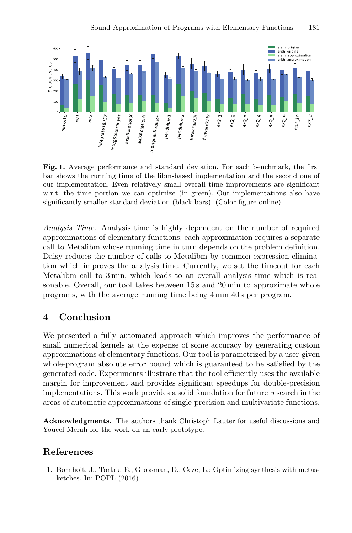

<span id="page-7-1"></span>**Fig. 1.** Average performance and standard deviation. For each benchmark, the first bar shows the running time of the libm-based implementation and the second one of our implementation. Even relatively small overall time improvements are significant w.r.t. the time portion we can optimize (in green). Our implementations also have significantly smaller standard deviation (black bars). (Color figure online)

*Analysis Time.* Analysis time is highly dependent on the number of required approximations of elementary functions: each approximation requires a separate call to Metalibm whose running time in turn depends on the problem definition. Daisy reduces the number of calls to Metalibm by common expression elimination which improves the analysis time. Currently, we set the timeout for each Metalibm call to 3 min, which leads to an overall analysis time which is reasonable. Overall, our tool takes between 15 s and 20 min to approximate whole programs, with the average running time being 4 min 40 s per program.

## **4 Conclusion**

We presented a fully automated approach which improves the performance of small numerical kernels at the expense of some accuracy by generating custom approximations of elementary functions. Our tool is parametrized by a user-given whole-program absolute error bound which is guaranteed to be satisfied by the generated code. Experiments illustrate that the tool efficiently uses the available margin for improvement and provides significant speedups for double-precision implementations. This work provides a solid foundation for future research in the areas of automatic approximations of single-precision and multivariate functions.

**Acknowledgments.** The authors thank Christoph Lauter for useful discussions and Youcef Merah for the work on an early prototype.

## **References**

<span id="page-7-0"></span>1. Bornholt, J., Torlak, E., Grossman, D., Ceze, L.: Optimizing synthesis with metasketches. In: POPL (2016)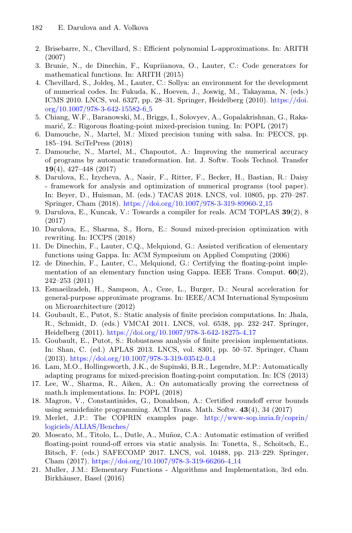- <span id="page-8-14"></span>2. Brisebarre, N., Chevillard, S.: Efficient polynomial L-approximations. In: ARITH (2007)
- <span id="page-8-9"></span>3. Brunie, N., de Dinechin, F., Kupriianova, O., Lauter, C.: Code generators for mathematical functions. In: ARITH (2015)
- <span id="page-8-15"></span>4. Chevillard, S., Joldes, M., Lauter, C.: Sollya: an environment for the development of numerical codes. In: Fukuda, K., Hoeven, J., Joswig, M., Takayama, N. (eds.) ICMS 2010. LNCS, vol. 6327, pp. 28–31. Springer, Heidelberg (2010). [https://doi.](https://doi.org/10.1007/978-3-642-15582-6_5) [org/10.1007/978-3-642-15582-6](https://doi.org/10.1007/978-3-642-15582-6_5) 5
- <span id="page-8-6"></span>5. Chiang, W.F., Baranowski, M., Briggs, I., Solovyev, A., Gopalakrishnan, G., Rakamarić, Z.: Rigorous floating-point mixed-precision tuning. In: POPL (2017)
- <span id="page-8-7"></span>6. Damouche, N., Martel, M.: Mixed precision tuning with salsa. In: PECCS, pp. 185–194. SciTePress (2018)
- <span id="page-8-0"></span>7. Damouche, N., Martel, M., Chapoutot, A.: Improving the numerical accuracy of programs by automatic transformation. Int. J. Softw. Tools Technol. Transfer **19**(4), 427–448 (2017)
- <span id="page-8-1"></span>8. Darulova, E., Izycheva, A., Nasir, F., Ritter, F., Becker, H., Bastian, R.: Daisy - framework for analysis and optimization of numerical programs (tool paper). In: Beyer, D., Huisman, M. (eds.) TACAS 2018. LNCS, vol. 10805, pp. 270–287. Springer, Cham (2018). [https://doi.org/10.1007/978-3-319-89960-2](https://doi.org/10.1007/978-3-319-89960-2_15) 15
- <span id="page-8-17"></span>9. Darulova, E., Kuncak, V.: Towards a compiler for reals. ACM TOPLAS **39**(2), 8 (2017)
- <span id="page-8-8"></span>10. Darulova, E., Sharma, S., Horn, E.: Sound mixed-precision optimization with rewriting. In: ICCPS (2018)
- <span id="page-8-2"></span>11. De Dinechin, F., Lauter, C.Q., Melquiond, G.: Assisted verification of elementary functions using Gappa. In: ACM Symposium on Applied Computing (2006)
- <span id="page-8-16"></span>12. de Dinechin, F., Lauter, C., Melquiond, G.: Certifying the floating-point implementation of an elementary function using Gappa. IEEE Trans. Comput. **60**(2), 242–253 (2011)
- <span id="page-8-13"></span>13. Esmaeilzadeh, H., Sampson, A., Ceze, L., Burger, D.: Neural acceleration for general-purpose approximate programs. In: IEEE/ACM International Symposium on Microarchitecture (2012)
- <span id="page-8-3"></span>14. Goubault, E., Putot, S.: Static analysis of finite precision computations. In: Jhala, R., Schmidt, D. (eds.) VMCAI 2011. LNCS, vol. 6538, pp. 232–247. Springer, Heidelberg (2011). [https://doi.org/10.1007/978-3-642-18275-4](https://doi.org/10.1007/978-3-642-18275-4_17) 17
- <span id="page-8-18"></span>15. Goubault, E., Putot, S.: Robustness analysis of finite precision implementations. In: Shan, C. (ed.) APLAS 2013. LNCS, vol. 8301, pp. 50–57. Springer, Cham (2013). [https://doi.org/10.1007/978-3-319-03542-0](https://doi.org/10.1007/978-3-319-03542-0_4) 4
- <span id="page-8-12"></span>16. Lam, M.O., Hollingsworth, J.K., de Supinski, B.R., Legendre, M.P.: Automatically adapting programs for mixed-precision floating-point computation. In: ICS (2013)
- <span id="page-8-10"></span>17. Lee, W., Sharma, R., Aiken, A.: On automatically proving the correctness of math.h implementations. In: POPL (2018)
- <span id="page-8-4"></span>18. Magron, V., Constantinides, G., Donaldson, A.: Certified roundoff error bounds using semidefinite programming. ACM Trans. Math. Softw. **43**(4), 34 (2017)
- <span id="page-8-19"></span>19. Merlet, J.P.: The COPRIN examples page. [http://www-sop.inria.fr/coprin/](http://www-sop.inria.fr/coprin/logiciels/ALIAS/Benches/) [logiciels/ALIAS/Benches/](http://www-sop.inria.fr/coprin/logiciels/ALIAS/Benches/)
- <span id="page-8-5"></span>20. Moscato, M., Titolo, L., Dutle, A., Mu˜noz, C.A.: Automatic estimation of verified floating-point round-off errors via static analysis. In: Tonetta, S., Schoitsch, E., Bitsch, F. (eds.) SAFECOMP 2017. LNCS, vol. 10488, pp. 213–229. Springer, Cham (2017). [https://doi.org/10.1007/978-3-319-66266-4](https://doi.org/10.1007/978-3-319-66266-4_14) 14
- <span id="page-8-11"></span>21. Muller, J.M.: Elementary Functions - Algorithms and Implementation, 3rd edn. Birkhäuser, Basel (2016)